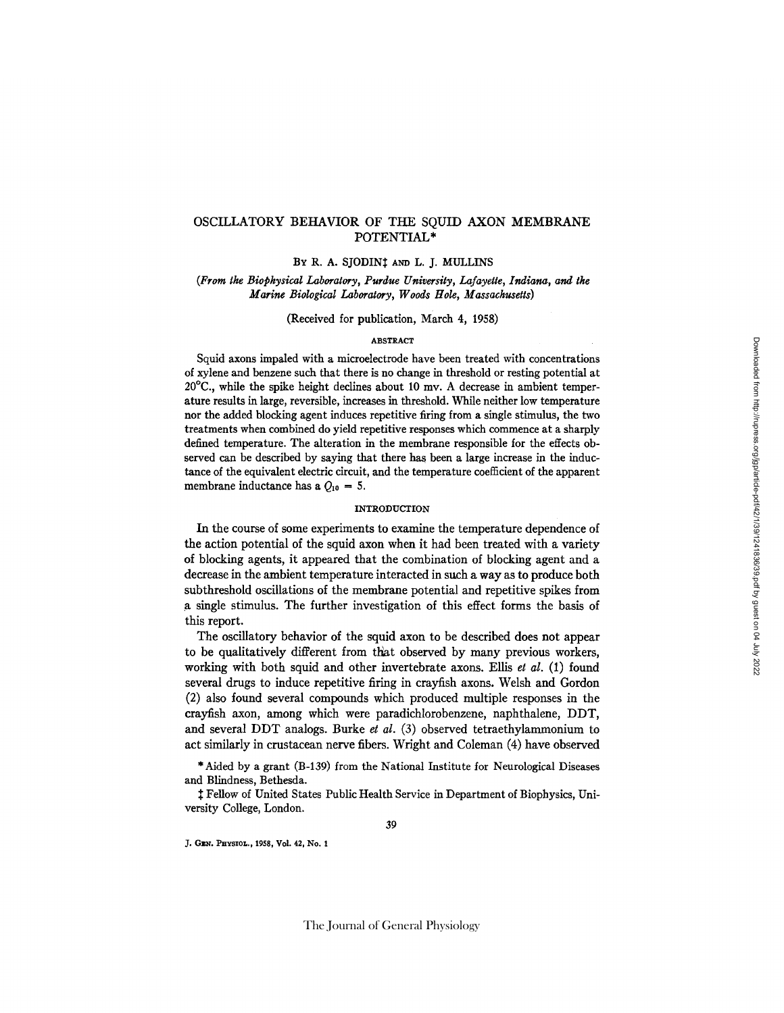# OSCILLATORY BEHAVIOR OF THE SQUID AXON MEMBRANE POTENTIAL\*

BY R. A. SJODINI AND L. J. MULLINS

*(From the Biophysical Laboratory, Purdue University, Lafayette, Indiana, and the Marine Biological Laboratory, Woods Hole, Massachusetts)* 

(Received for publication, March 4, 1958)

#### ABSTRACT

Squid axons impaled with a microelectrode have been treated with concentrations of xylene and benzene such that there is no change in threshold or resting potential at  $20^{\circ}$ C., while the spike height declines about 10 mv. A decrease in ambient temperature results in large, reversible, increases in threshold. While neither low temperature nor the added blocking agent induces repetitive firing from a single stimulus, the two treatments when combined do yield repetitive responses which commence at a sharply defined temperature. The alteration in the membrane responsible for the effects observed can be described by saying that there has been a large increase in the inductance of the equivalent electric circuit, and the temperature coefficient of the apparent membrane inductance has a  $Q_{10} = 5$ .

#### INTRODUCTION

In the course of some experiments to examine the temperature dependence of the action potential of the squid axon when it had been treated with a variety of blocking agents, it appeared that the combination of blocking agent and a decrease in the ambient temperature interacted in sach a way as to produce both subthreshold oscillations of the membrane potential and repetitive spikes from a single stimulus. The further investigation of this effect forms the basis of this report.

The oscillatory behavior of the squid axon to be described does not appear to be qualitatively different from that observed by many previous workers, working with both squid and other invertebrate axons. Ellis *et al.* (1) found several drugs to induce repetitive firing in crayfish axons. Welsh and Gordon (2) also found several compounds which produced multiple responses in the crayfish axon, among which were paradichlorobenzene, naphthalene, DOT, and several DOT analogs. Burke *et al.* (3) observed tetraethylammonium to act similarly in crustacean nerve fibers. Wright and Coleman (4) have observed

\* Aided by a grant (B-139) from the National Institute for Neurological Diseases and Blindness, Bethesda.

<sup> $\ddagger$ </sup> Fellow of United States Public Health Service in Department of Biophysics, University College, London.

J. GEN. PHYSIOL., 1958, Vol. 42, No. 1

The Journal of General Physiology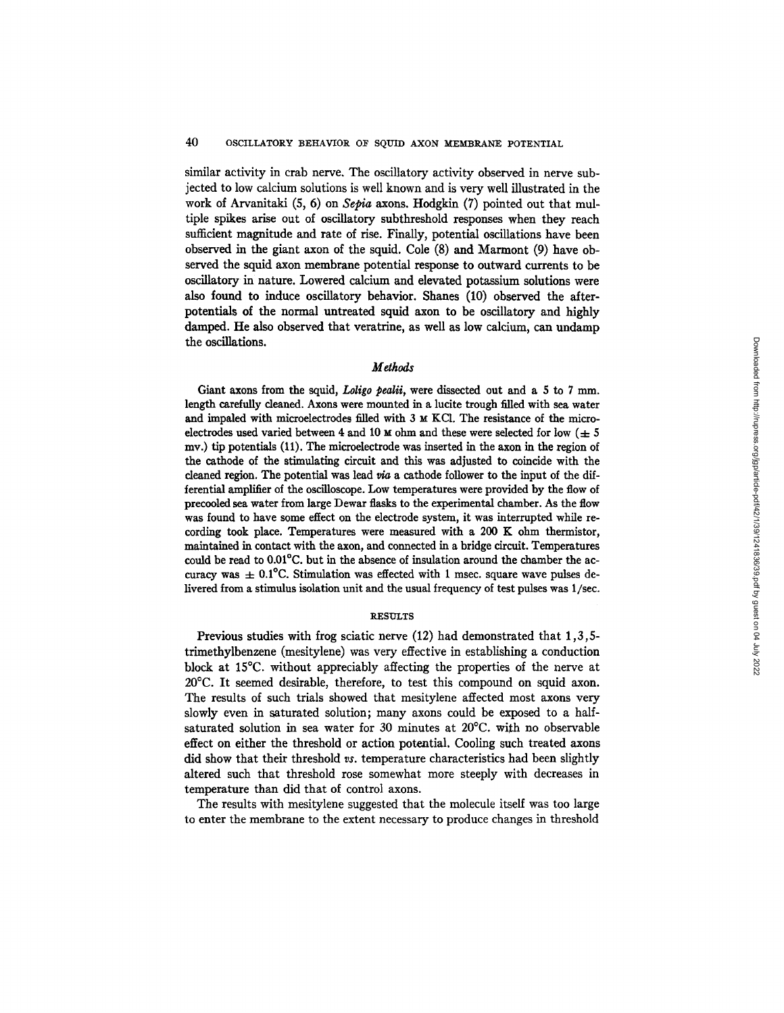similar activity in crab nerve. The oscillatory activity observed in nerve subjected to low calcium solutions is well known and is very well illustrated in the work of Arvanitaki (5, 6) on *Sepia* axons. Hodgkin (7) pointed out that multiple spikes arise out of oscillatory subthreshold responses when they reach sufficient magnitude and rate of rise. Finally, potential oscillations have been observed in the giant axon of the squid. Cole (8) and Marmont (9) have observed the squid axon membrane potential response to outward currents to be oscillatory in nature. Lowered calcium and elevated potassium solutions were also found to induce oscillatory behavior. Shanes (10) observed the afterpotentials of the normal untreated squid axon to be oscillatory and highly damped. He also observed that veratrine, as well as low calcium, can undamp the oscillations.

## *Methods*

Giant axons from the squid, *Loligo pealii*, were dissected out and a 5 to 7 mm. length carefully cleaned. Axons were mounted in a lucite trough filled with sea water and impaled with microelectrodes filled with 3 M KC1. The resistance of the microelectrodes used varied between 4 and 10  $\mu$  ohm and these were selected for low ( $\pm$  5 my.) tip potentials (11). The microelectrode was inserted in the axon in the region of the cathode of the stimulating circuit and this was adjusted to coincide with the cleaned region. The potential was lead  $via$  a cathode follower to the input of the differential amplifier of the oscilloscope. Low temperatures were provided by the flow of precooled sea water from large Dewar flasks to the experimental chamber. As the flow was found to have some effect on the electrode system, it was interrupted while recording took place. Temperatures were measured with a 200 K ohm thermistor, maintained in contact with the axon, and connected in a bridge circuit. Temperatures could be read to 0.01°C. but in the absence of insulation around the chamber the accuracy was  $\pm$  0.1°C. Stimulation was effected with 1 msec. square wave pulses delivered from a stimulus isolation unit and the usual frequency of test pulses was 1/see.

#### **RESULTS**

Previous studies with frog sciatic nerve (12) had demonstrated that 1,3,5 trimethylbenzene (mesitylene) was very effective in establishing a conduction block at 15°C. without appreciably affecting the properties of the nerve at 20°C. It seemed desirable, therefore, to test this compound on squid axon. The results of such trials showed that mesitylene affected most axons very slowly even in saturated solution; many axons could be exposed to a halfsaturated solution in sea water for 30 minutes at 20°C. with no observable effect on either the threshold or action potential. Cooling such treated axons did show that their threshold *vs.* temperature characteristics had been slightly altered such that threshold rose somewhat more steeply with decreases in temperature than did that of control axons.

The results with mesitylene suggested that the molecule itself was too large to enter the membrane to the extent necessary to produce changes in threshold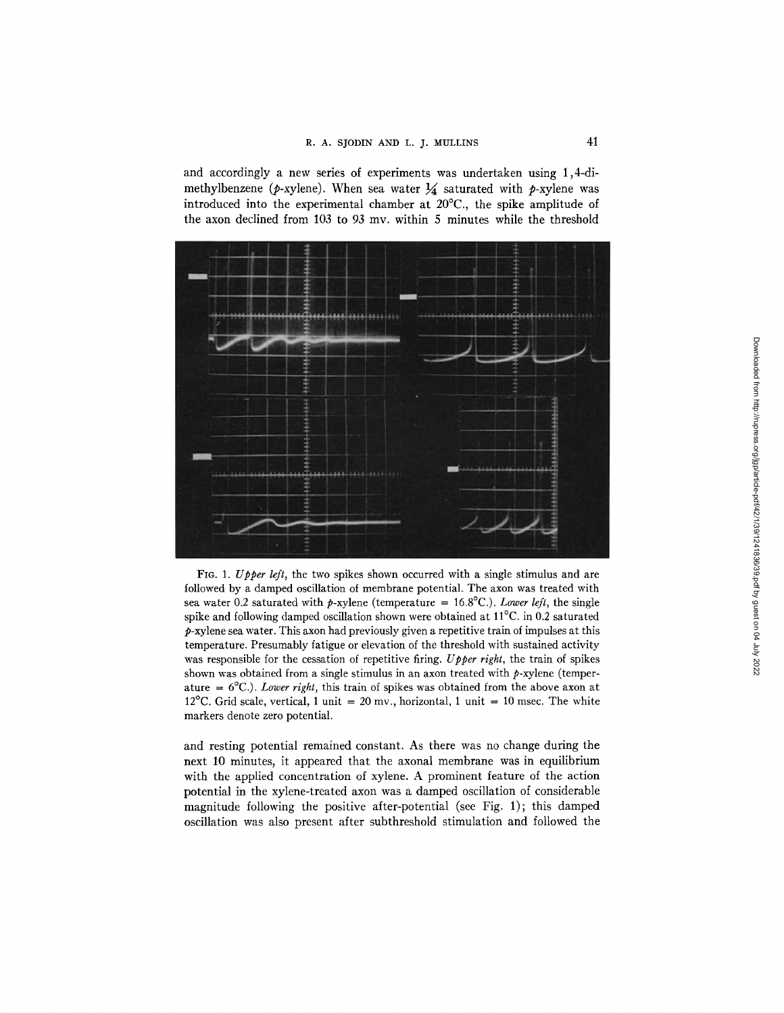and accordingly a new series of experiments was undertaken using 1,4-dimethylbenzene ( $p$ -xylene). When sea water  $\frac{1}{4}$  saturated with p-xylene was introduced into the experimental chamber at 20°C., the spike amplitude of the axon declined from 103 to 93 mv. within 5 minutes while the threshold



FIG. 1. *Upper left*, the two spikes shown occurred with a single stimulus and are followed by a damped oscillation of membrane potential. The axon was treated with sea water 0.2 saturated with p-xylene (temperature =  $16.8^{\circ}$ C.). *Lower left*, the single spike and following damped oscillation shown were obtained at 11°C. in 0.2 saturated  $p$ -xylene sea water. This axon had previously given a repetitive train of impulses at this temperature. Presumably fatigue or elevation of the threshold with sustained activity was responsible for the cessation of repetitive firing. *Upper right,* the train of spikes shown was obtained from a single stimulus in an axon treated with  $p$ -xylene (temperature = 6°C.). *Lower right,* this train of spikes was obtained from the above axon at 12<sup>o</sup>C. Grid scale, vertical, 1 unit = 20 mv., horizontal, 1 unit = 10 msec. The white markers denote zero potential.

and resting potential remained constant. As there was no change during the next 10 minutes, it appeared that the axonal membrane was in equilibrium with the applied concentration of xylene. A prominent feature of the action potential in the xylene-treated axon was a damped oscillation of considerable magnitude following the positive after-potential (see Fig. 1); this damped oscillation was also present after subthreshold stimulation and followed the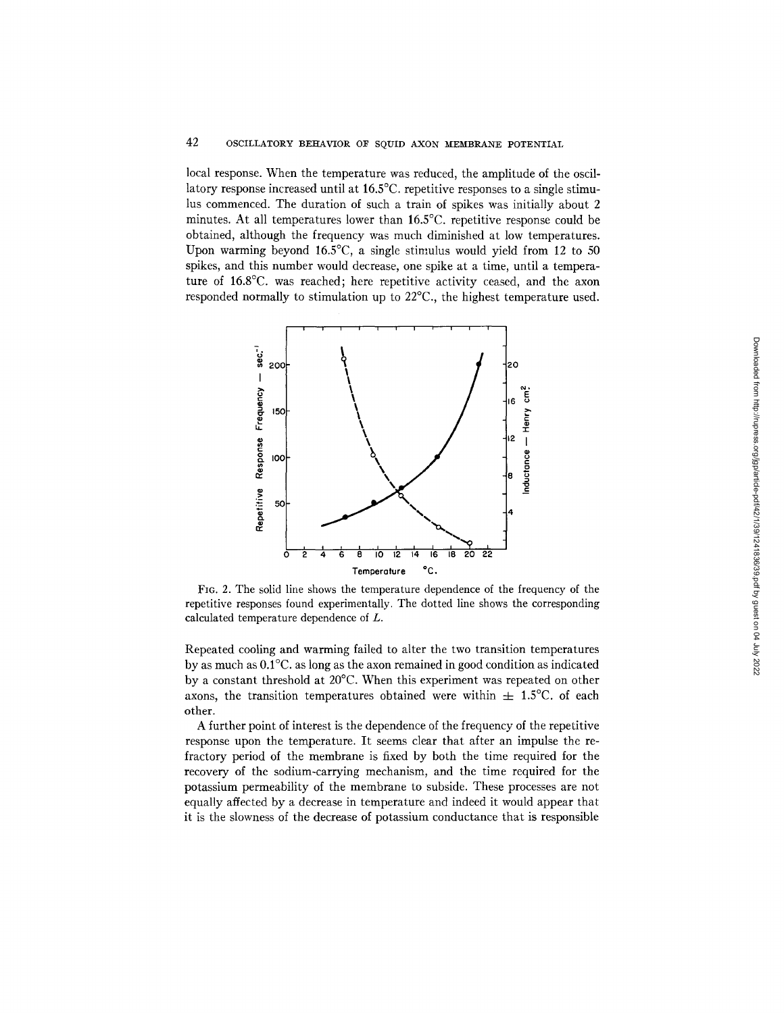# 42 OSCILLATORY BEHAVIOR OF SQUID AXON MEMBRANE POTENTIAL

local response. When the temperature was reduced, the amplitude of the oscillatory response increased until at 16.5°C. repetitive responses to a single stimulus commenced. The duration of such a train of spikes was initially about 2 minutes. At all temperatures lower than 16.5°C. repetitive response could be obtained, although the frequency was much diminished at low temperatures. Upon warming beyond 16.5°C, a single stimulus would yield from 12 to 50 spikes, and this number would decrease, one spike at a time, until a temperature of 16.8°C. was reached; here repetitive activity ceased, and the axon responded normally to stimulation up to 22°C., the highest temperature used.



FIG. 2. The solid line shows the temperature dependence of the frequency of the repetitive responses found experimentally. The dotted line shows the corresponding calculated temperature dependence of L.

Repeated cooling and warming failed to alter the two transition temperatures by as much as 0.1°C. as long as the axon remained in good condition as indicated by a constant threshold at 20°C. When this experiment was repeated on other axons, the transition temperatures obtained were within  $\pm$  1.5°C. of each other.

A further point of interest is the dependence of the frequency of the repetitive response upon the temperature. It seems clear that after an impulse the refractory period of the membrane is fixed by both the time required for the recovery of the sodium-carrying mechanism, and the time required for the potassium permeability of the membrane to subside. These processes are not equally affected by a decrease in temperature and indeed it would appear that it is the slowness of the decrease of potassium conductance that is responsible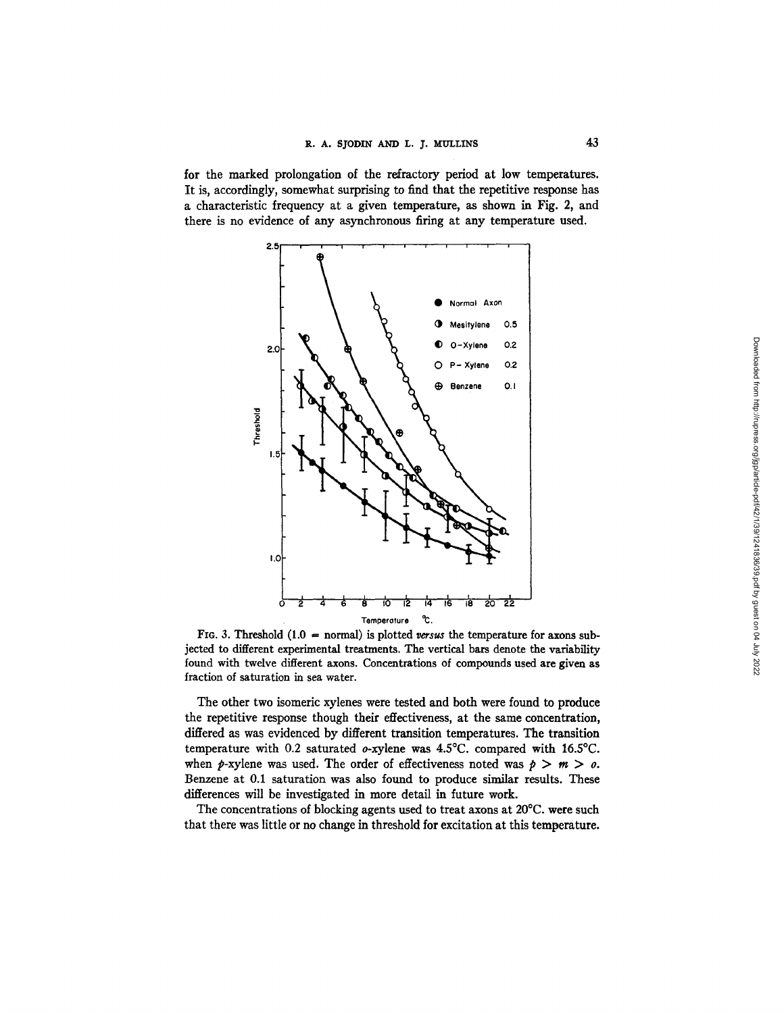for the marked prolongation of the refractory period at low temperatures. It is, accordingly, somewhat surprising to find that the repetitive response has a characteristic frequency at a given temperature, as shown in Fig. 2, and there is no evidence of any asynchronous firing at any temperature used.



FIG. 3. Threshold  $(1.0 = normal)$  is plotted versus the temperature for axons subjected to different experimental treatments. The vertical bars denote the variability found with twelve different axons. Concentrations of compounds used are given as fraction of saturation in sea water.

The other two isomeric xylenes were tested and both were found to produce the repetitive response though their effectiveness, at the same concentration, differed as was evidenced by different transition temperatures. The transition temperature with 0.2 saturated o-xylene was 4.5°C. compared with 16.5°C. when  $p$ -xylene was used. The order of effectiveness noted was  $p > m > o$ . Benzene at 0.I saturation was also found to produce similar results. These differences will be investigated in more detail in future work.

The concentrations of blocking agents used to treat axons at 20°C. were such that there was little or no change in threshold for excitation at this temperature.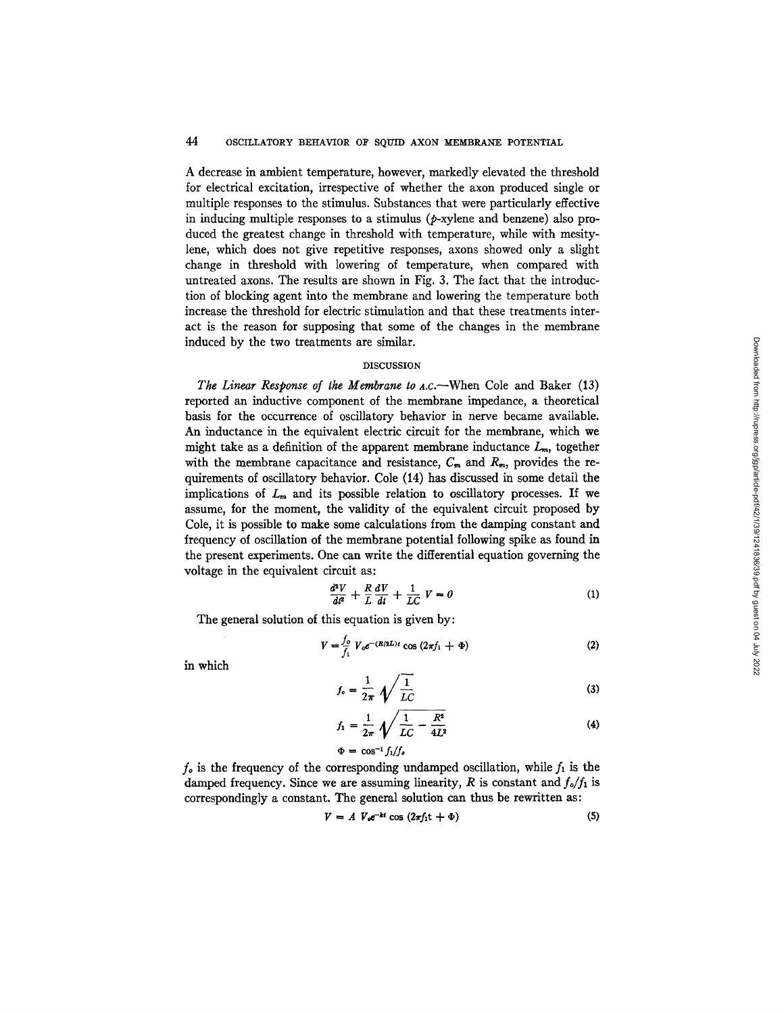A decrease in ambient temperature, however, markedly elevated the threshold for electrical excitation, irrespective of whether the axon produced single or multiple responses to the stimulus. Substances that were particularly effective in inducing multiple responses to a stimulus  $(p$ -xylene and benzene) also produced the greatest change in threshold with temperature, while with mesitylene, which does not give repetitive responses, axons showed only a slight change in threshold with lowering of temperature, when compared with untreated axons. The results are shown in Fig. 3. The fact that the introduction of blocking agent into the membrane and lowering the temperature both increase the threshold for electric stimulation and that these treatments interact is the reason for supposing that some of the changes in the membrane induced by the two treatments are similar.

### DISCUSSION

*The Linear Response of the Membrane to A.c.*—When Cole and Baker (13) reported an inductive component of the membrane impedance, a theoretical basis for the occurrence of oscillatory behavior in nerve became available. An inductance in the equivalent electric circuit for the membrane, which we might take as a definition of the apparent membrane inductance  $L<sub>m</sub>$ , together with the membrane capacitance and resistance,  $C_m$  and  $R_m$ , provides the requirements of oscillatory behavior. Cole (14) has discussed in some detail the implications of  $L_m$  and its possible relation to oscillatory processes. If we assume, for the moment, the validity of the equivalent circuit proposed by Cole, it is possible to make some calculations from the damping constant and frequency of oscillation of the membrane potential following spike as found in the present experiments. One can write the differential equation governing the voltage in the equivalent circuit as:

$$
\frac{d^2V}{dt^2} + \frac{R}{L}\frac{dV}{dt} + \frac{1}{LC}V = 0
$$
 (1)

The general solution of this equation is given by:

$$
V = \frac{f_o}{f_1} V_o e^{-(R/2L)t} \cos (2\pi f_1 + \Phi)
$$
 (2)

in which

$$
f_o = \frac{1}{2\pi} \sqrt{\frac{1}{LC}} \tag{3}
$$

$$
f_1 = \frac{1}{2\pi} \sqrt{\frac{1}{LC} - \frac{R^2}{4L^2}}
$$
 (4)

$$
\Phi = \cos^{-1} f_1/f_o
$$

 $f<sub>o</sub>$  is the frequency of the corresponding undamped oscillation, while  $f<sub>1</sub>$  is the damped frequency. Since we are assuming linearity,  $R$  is constant and  $f_{\circ}/f_1$  is correspondingly a constant. The general solution can thus be rewritten as:

$$
V = A V_{\text{e}}e^{-kt} \cos(2\pi f_1 t + \Phi) \tag{5}
$$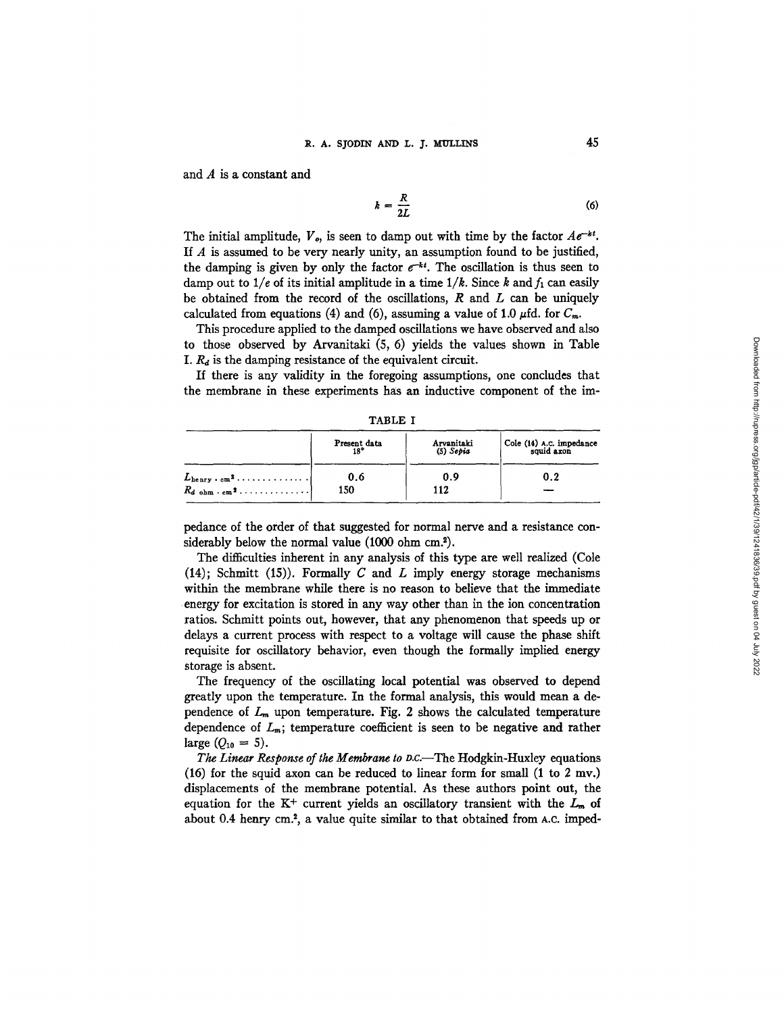and A is a constant and

$$
k = \frac{R}{2L} \tag{6}
$$

The initial amplitude,  $V_{\rho}$ , is seen to damp out with time by the factor  $Ae^{-kt}$ . If  $A$  is assumed to be very nearly unity, an assumption found to be justified, the damping is given by only the factor  $e^{-kt}$ . The oscillation is thus seen to damp out to  $1/e$  of its initial amplitude in a time  $1/k$ . Since k and  $f_1$  can easily be obtained from the record of the oscillations,  $R$  and  $L$  can be uniquely calculated from equations (4) and (6), assuming a value of 1.0  $\mu$ fd. for  $C_m$ .

This procedure applied to the damped oscillations we have observed and also to those observed by Arvanitaki (5, 6) yields the values shown in Table I.  $R_d$  is the damping resistance of the equivalent circuit.

If there is any validity in the foregoing assumptions, one concludes that the membrane in these experiments has an inductive component of the im-

|                                                                             | Present data | Arvanitaki<br>$(5)$ Sepia | Cole (14) A.C. impedance<br>squid axon |
|-----------------------------------------------------------------------------|--------------|---------------------------|----------------------------------------|
| $L_{\text{herry}} \cdot \text{cm}^2 \cdot \cdots \cdot \cdots \cdot \cdots$ | 0.6          | 0.9                       | 0.2                                    |
| $R_{d \text{ ohm} \cdot \text{em}}$ <sup>2</sup>                            | 150          | 112                       |                                        |

TABLE I

pedance of the order of that suggested for normal nerve and a resistance considerably below the normal value (1000 ohm cm?).

The difficulties inherent in any analysis of this type are well realized (Cole (14); Schmitt (15)). Formally  $C$  and  $L$  imply energy storage mechanisms within the membrane while there is no reason to believe that the immediate energy for excitation is stored in any way other than in the ion concentration ratios. Schmitt points out, however, that any phenomenon that speeds up or delays a current process with respect to a voltage will cause the phase shift requisite for oscillatory behavior, even though the formally implied energy storage is absent.

The frequency of the oscillating local potential was observed to depend greatly upon the temperature. In the formal analysis, this would mean a dependence of  $L_m$  upon temperature. Fig. 2 shows the calculated temperature dependence of  $L_m$ ; temperature coefficient is seen to be negative and rather large  $(O_{10} = 5)$ .

*The Linear Response of the Membrane to D.C.*—The Hodgkin-Huxley equations  $(16)$  for the squid axon can be reduced to linear form for small  $(1 \text{ to } 2 \text{ mv.})$ displacements of the membrane potential. As these authors point out, the equation for the K<sup>+</sup> current yields an oscillatory transient with the  $L_m$  of about 0.4 henry cm?, a value quite similar to that obtained from A.C. imped-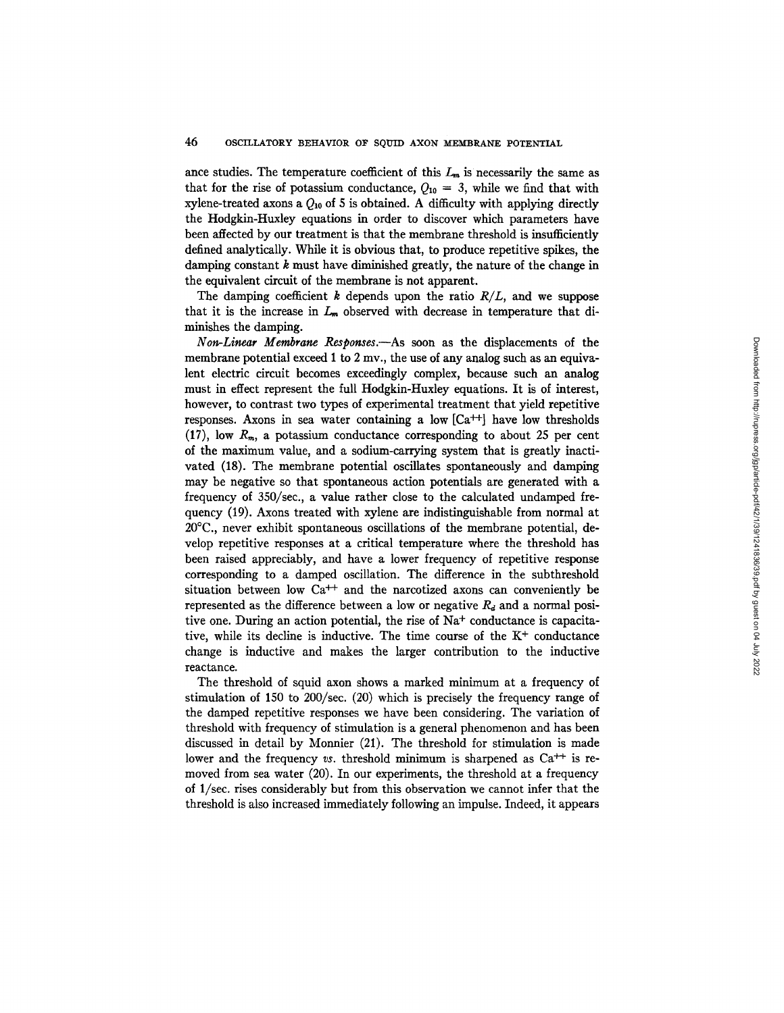ance studies. The temperature coefficient of this  $L_m$  is necessarily the same as that for the rise of potassium conductance,  $Q_{10} = 3$ , while we find that with xylene-treated axons a  $Q_{10}$  of 5 is obtained. A difficulty with applying directly the Hodgkin-Huxley equations in order to discover which parameters have been affected by our treatment is that the membrane threshold is insufficiently defined analytically. While it is obvious that, to produce repetitive spikes, the damping constant  $k$  must have diminished greatly, the nature of the change in the equivalent circuit of the membrane is not apparent.

The damping coefficient  $k$  depends upon the ratio  $R/L$ , and we suppose that it is the increase in  $L_m$  observed with decrease in temperature that diminishes the damping.

*Non-Linear Membrane Responses.--As* soon as the displacements of the membrane potential exceed 1 to 2 mv., the use of any analog such as an equivalent electric circuit becomes exceedingly complex, because such an analog must in effect represent the full Hodgkin-Huxley equations. It is of interest, however, to contrast two types of experimental treatment that yield repetitive responses. Axons in sea water containing a low  $[Ca^{++}]$  have low thresholds (17), low  $R_m$ , a potassium conductance corresponding to about 25 per cent of the maximum value, and a sodium-carrying system that is greatly inactivated (18). The membrane potential oscillates spontaneously and damping may be negative so that spontaneous action potentials are generated with a frequency of 350/see., a value rather close to the calculated undamped frequency (19). Axons treated with xylene are indistinguishable from normal at 20°C., never exhibit spontaneous oscillations of the membrane potential, develop repetitive responses at a critical temperature where the threshold has been raised appreciably, and have a lower frequency of repetitive response corresponding to a damped oscillation. The difference in the subthreshold situation between low  $Ca^{++}$  and the narcotized axons can conveniently be represented as the difference between a low or negative  $R_d$  and a normal positive one. During an action potential, the rise of  $Na<sup>+</sup>$  conductance is capacitative, while its decline is inductive. The time course of the  $K<sup>+</sup>$  conductance change is inductive and makes the larger contribution to the inductive reactance.

The threshold of squid axon shows a marked minimum at a frequency of stimulation of 150 to 200/see. (20) which is precisely the frequency range of the damped repetitive responses we have been considering. The variation of threshold with frequency of stimulation is a general phenomenon and has been discussed in detail by Monnier (21). The threshold for stimulation is made lower and the frequency *vs.* threshold minimum is sharpened as  $Ca^{++}$  is removed from sea water (20). In our experiments, the threshold at a frequency of 1/sec. rises considerably but from this observation we cannot infer that the threshold is also increased immediately following an impulse. Indeed, it appears